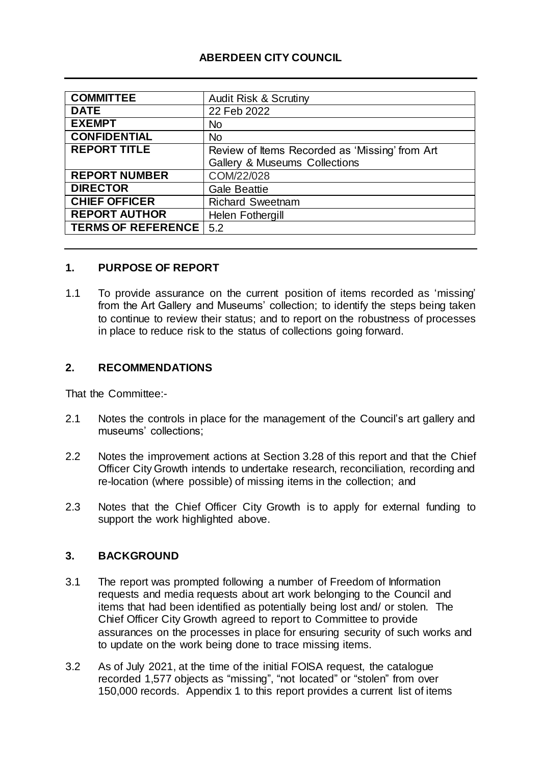## **ABERDEEN CITY COUNCIL**

| <b>COMMITTEE</b>          | <b>Audit Risk &amp; Scrutiny</b>               |
|---------------------------|------------------------------------------------|
| <b>DATE</b>               | 22 Feb 2022                                    |
| <b>EXEMPT</b>             | <b>No</b>                                      |
| <b>CONFIDENTIAL</b>       | <b>No</b>                                      |
| <b>REPORT TITLE</b>       | Review of Items Recorded as 'Missing' from Art |
|                           | <b>Gallery &amp; Museums Collections</b>       |
| <b>REPORT NUMBER</b>      | COM/22/028                                     |
| <b>DIRECTOR</b>           | <b>Gale Beattie</b>                            |
| <b>CHIEF OFFICER</b>      | <b>Richard Sweetnam</b>                        |
| <b>REPORT AUTHOR</b>      | Helen Fothergill                               |
| <b>TERMS OF REFERENCE</b> | 5.2                                            |

## **1. PURPOSE OF REPORT**

1.1 To provide assurance on the current position of items recorded as 'missing' from the Art Gallery and Museums' collection; to identify the steps being taken to continue to review their status; and to report on the robustness of processes in place to reduce risk to the status of collections going forward.

## **2. RECOMMENDATIONS**

That the Committee:-

- 2.1 Notes the controls in place for the management of the Council's art gallery and museums' collections;
- 2.2 Notes the improvement actions at Section 3.28 of this report and that the Chief Officer City Growth intends to undertake research, reconciliation, recording and re-location (where possible) of missing items in the collection; and
- 2.3 Notes that the Chief Officer City Growth is to apply for external funding to support the work highlighted above.

## **3. BACKGROUND**

- 3.1 The report was prompted following a number of Freedom of Information requests and media requests about art work belonging to the Council and items that had been identified as potentially being lost and/ or stolen. The Chief Officer City Growth agreed to report to Committee to provide assurances on the processes in place for ensuring security of such works and to update on the work being done to trace missing items.
- 3.2 As of July 2021, at the time of the initial FOISA request, the catalogue recorded 1,577 objects as "missing", "not located" or "stolen" from over 150,000 records. Appendix 1 to this report provides a current list of items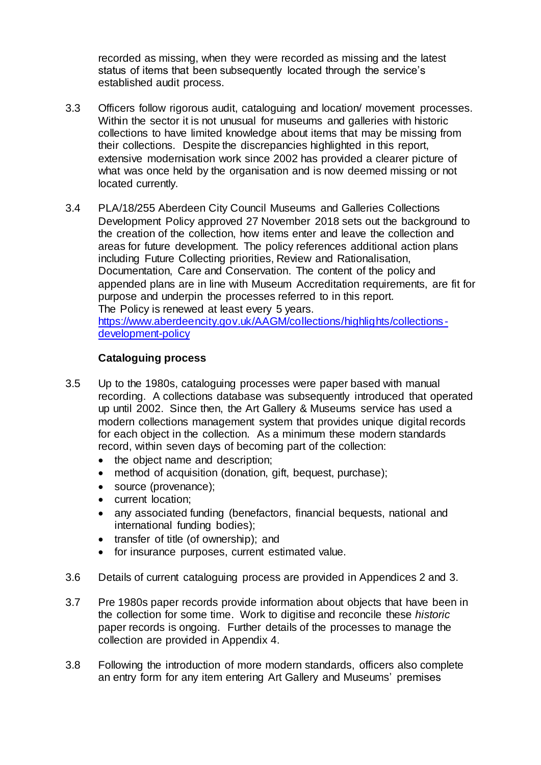recorded as missing, when they were recorded as missing and the latest status of items that been subsequently located through the service's established audit process.

- 3.3 Officers follow rigorous audit, cataloguing and location/ movement processes. Within the sector it is not unusual for museums and galleries with historic collections to have limited knowledge about items that may be missing from their collections. Despite the discrepancies highlighted in this report, extensive modernisation work since 2002 has provided a clearer picture of what was once held by the organisation and is now deemed missing or not located currently.
- 3.4 PLA/18/255 Aberdeen City Council Museums and Galleries Collections Development Policy approved 27 November 2018 sets out the background to the creation of the collection, how items enter and leave the collection and areas for future development. The policy references additional action plans including Future Collecting priorities, Review and Rationalisation, Documentation, Care and Conservation. The content of the policy and appended plans are in line with Museum Accreditation requirements, are fit for purpose and underpin the processes referred to in this report. The Policy is renewed at least every 5 years. [https://www.aberdeencity.gov.uk/AAGM/collections/highlights/collections](https://www.aberdeencity.gov.uk/AAGM/collections/highlights/collections-development-policy) -

[development-policy](https://www.aberdeencity.gov.uk/AAGM/collections/highlights/collections-development-policy)

## **Cataloguing process**

- 3.5 Up to the 1980s, cataloguing processes were paper based with manual recording. A collections database was subsequently introduced that operated up until 2002. Since then, the Art Gallery & Museums service has used a modern collections management system that provides unique digital records for each object in the collection. As a minimum these modern standards record, within seven days of becoming part of the collection:
	- the object name and description;
	- method of acquisition (donation, gift, bequest, purchase);
	- source (provenance);
	- current location;
	- any associated funding (benefactors, financial bequests, national and international funding bodies);
	- transfer of title (of ownership); and
	- for insurance purposes, current estimated value.
- 3.6 Details of current cataloguing process are provided in Appendices 2 and 3.
- 3.7 Pre 1980s paper records provide information about objects that have been in the collection for some time. Work to digitise and reconcile these *historic* paper records is ongoing. Further details of the processes to manage the collection are provided in Appendix 4.
- 3.8 Following the introduction of more modern standards, officers also complete an entry form for any item entering Art Gallery and Museums' premises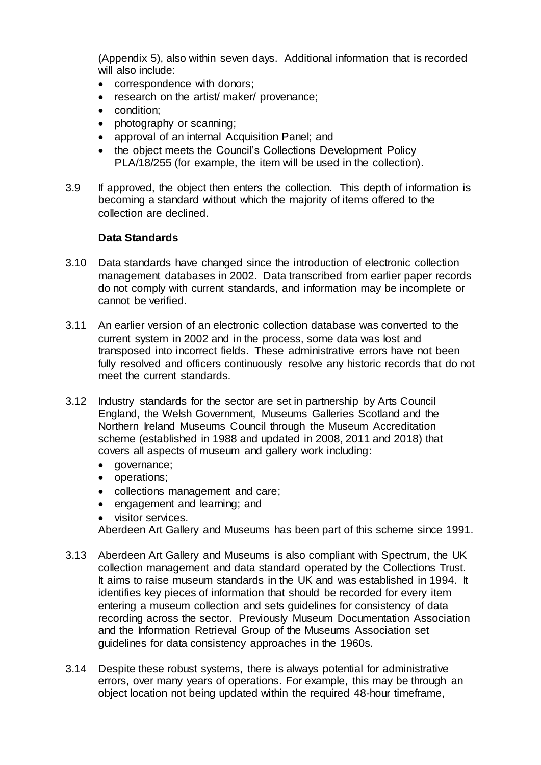(Appendix 5), also within seven days. Additional information that is recorded will also include:

- correspondence with donors;
- research on the artist/ maker/ provenance;
- condition:
- photography or scanning;
- approval of an internal Acquisition Panel; and
- the object meets the Council's Collections Development Policy PLA/18/255 (for example, the item will be used in the collection).
- 3.9 If approved, the object then enters the collection. This depth of information is becoming a standard without which the majority of items offered to the collection are declined.

## **Data Standards**

- 3.10 Data standards have changed since the introduction of electronic collection management databases in 2002. Data transcribed from earlier paper records do not comply with current standards, and information may be incomplete or cannot be verified.
- 3.11 An earlier version of an electronic collection database was converted to the current system in 2002 and in the process, some data was lost and transposed into incorrect fields. These administrative errors have not been fully resolved and officers continuously resolve any historic records that do not meet the current standards.
- 3.12 Industry standards for the sector are set in partnership by Arts Council England, the Welsh Government, Museums Galleries Scotland and the Northern Ireland Museums Council through the Museum Accreditation scheme (established in 1988 and updated in 2008, 2011 and 2018) that covers all aspects of museum and gallery work including:
	- governance;
	- operations;
	- collections management and care;
	- engagement and learning; and
	- visitor services.

Aberdeen Art Gallery and Museums has been part of this scheme since 1991.

- 3.13 Aberdeen Art Gallery and Museums is also compliant with Spectrum, the UK collection management and data standard operated by the Collections Trust. It aims to raise museum standards in the UK and was established in 1994. It identifies key pieces of information that should be recorded for every item entering a museum collection and sets guidelines for consistency of data recording across the sector. Previously Museum Documentation Association and the Information Retrieval Group of the Museums Association set guidelines for data consistency approaches in the 1960s.
- 3.14 Despite these robust systems, there is always potential for administrative errors, over many years of operations. For example, this may be through an object location not being updated within the required 48-hour timeframe,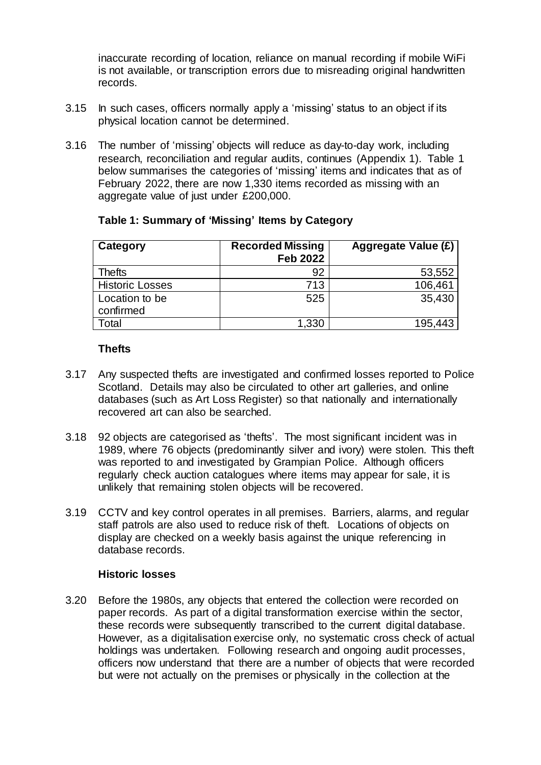inaccurate recording of location, reliance on manual recording if mobile WiFi is not available, or transcription errors due to misreading original handwritten records.

- 3.15 In such cases, officers normally apply a 'missing' status to an object if its physical location cannot be determined.
- 3.16 The number of 'missing' objects will reduce as day-to-day work, including research, reconciliation and regular audits, continues (Appendix 1). Table 1 below summarises the categories of 'missing' items and indicates that as of February 2022, there are now 1,330 items recorded as missing with an aggregate value of just under £200,000.

| Category               | <b>Recorded Missing</b> | <b>Aggregate Value (£)</b> |
|------------------------|-------------------------|----------------------------|
|                        | <b>Feb 2022</b>         |                            |
| <b>Thefts</b>          | 92                      | 53,552                     |
| <b>Historic Losses</b> | 713                     | 106,461                    |
| Location to be         | 525                     | 35,430                     |
| confirmed              |                         |                            |
| Total                  | 1,330                   | 195,443                    |

## **Table 1: Summary of 'Missing' Items by Category**

### **Thefts**

- 3.17 Any suspected thefts are investigated and confirmed losses reported to Police Scotland. Details may also be circulated to other art galleries, and online databases (such as Art Loss Register) so that nationally and internationally recovered art can also be searched.
- 3.18 92 objects are categorised as 'thefts'. The most significant incident was in 1989, where 76 objects (predominantly silver and ivory) were stolen. This theft was reported to and investigated by Grampian Police. Although officers regularly check auction catalogues where items may appear for sale, it is unlikely that remaining stolen objects will be recovered.
- 3.19 CCTV and key control operates in all premises. Barriers, alarms, and regular staff patrols are also used to reduce risk of theft. Locations of objects on display are checked on a weekly basis against the unique referencing in database records.

#### **Historic losses**

3.20 Before the 1980s, any objects that entered the collection were recorded on paper records. As part of a digital transformation exercise within the sector, these records were subsequently transcribed to the current digital database. However, as a digitalisation exercise only, no systematic cross check of actual holdings was undertaken. Following research and ongoing audit processes, officers now understand that there are a number of objects that were recorded but were not actually on the premises or physically in the collection at the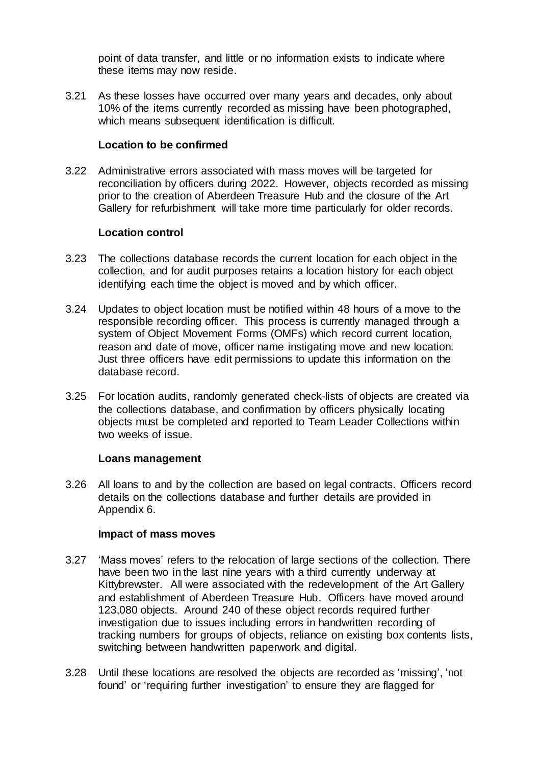point of data transfer, and little or no information exists to indicate where these items may now reside.

3.21 As these losses have occurred over many years and decades, only about 10% of the items currently recorded as missing have been photographed, which means subsequent identification is difficult.

### **Location to be confirmed**

3.22 Administrative errors associated with mass moves will be targeted for reconciliation by officers during 2022. However, objects recorded as missing prior to the creation of Aberdeen Treasure Hub and the closure of the Art Gallery for refurbishment will take more time particularly for older records.

## **Location control**

- 3.23 The collections database records the current location for each object in the collection, and for audit purposes retains a location history for each object identifying each time the object is moved and by which officer.
- 3.24 Updates to object location must be notified within 48 hours of a move to the responsible recording officer. This process is currently managed through a system of Object Movement Forms (OMFs) which record current location, reason and date of move, officer name instigating move and new location. Just three officers have edit permissions to update this information on the database record.
- 3.25 For location audits, randomly generated check-lists of objects are created via the collections database, and confirmation by officers physically locating objects must be completed and reported to Team Leader Collections within two weeks of issue.

#### **Loans management**

3.26 All loans to and by the collection are based on legal contracts. Officers record details on the collections database and further details are provided in Appendix 6.

#### **Impact of mass moves**

- 3.27 'Mass moves' refers to the relocation of large sections of the collection. There have been two in the last nine years with a third currently underway at Kittybrewster. All were associated with the redevelopment of the Art Gallery and establishment of Aberdeen Treasure Hub. Officers have moved around 123,080 objects. Around 240 of these object records required further investigation due to issues including errors in handwritten recording of tracking numbers for groups of objects, reliance on existing box contents lists, switching between handwritten paperwork and digital.
- 3.28 Until these locations are resolved the objects are recorded as 'missing', 'not found' or 'requiring further investigation' to ensure they are flagged for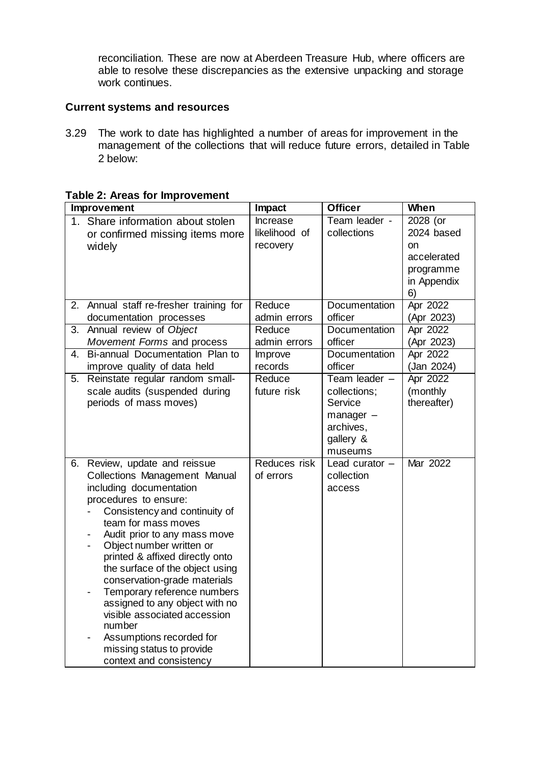reconciliation. These are now at Aberdeen Treasure Hub, where officers are able to resolve these discrepancies as the extensive unpacking and storage work continues.

## **Current systems and resources**

3.29 The work to date has highlighted a number of areas for improvement in the management of the collections that will reduce future errors, detailed in Table 2 below:

|    | Improvement                                          | Impact        | <b>Officer</b>   | <b>When</b>           |
|----|------------------------------------------------------|---------------|------------------|-----------------------|
|    | 1. Share information about stolen                    | Increase      | Team leader -    | $\overline{2}028$ (or |
|    | or confirmed missing items more                      | likelihood of | collections      | 2024 based            |
|    | widely                                               | recovery      |                  | on                    |
|    |                                                      |               |                  | accelerated           |
|    |                                                      |               |                  | programme             |
|    |                                                      |               |                  | in Appendix           |
|    |                                                      |               |                  | 6)                    |
| 2. | Annual staff re-fresher training for                 | Reduce        | Documentation    | Apr 2022              |
|    | documentation processes                              | admin errors  | officer          | (Apr 2023)            |
| 3. | Annual review of Object                              | Reduce        | Documentation    | Apr 2022              |
|    | Movement Forms and process                           | admin errors  | officer          | (Apr 2023)            |
| 4. | Bi-annual Documentation Plan to                      | Improve       | Documentation    | Apr 2022              |
|    | improve quality of data held                         | records       | officer          | (Jan 2024)            |
| 5. | Reinstate regular random small-                      | Reduce        | Team leader -    | Apr 2022              |
|    | scale audits (suspended during                       | future risk   | collections;     | (monthly              |
|    | periods of mass moves)                               |               | Service          | thereafter)           |
|    |                                                      |               | $m$ anager $-$   |                       |
|    |                                                      |               | archives,        |                       |
|    |                                                      |               | gallery &        |                       |
|    |                                                      |               | museums          |                       |
| 6. | Review, update and reissue                           | Reduces risk  | Lead curator $-$ | Mar 2022              |
|    | <b>Collections Management Manual</b>                 | of errors     | collection       |                       |
|    | including documentation<br>procedures to ensure:     |               | access           |                       |
|    | Consistency and continuity of                        |               |                  |                       |
|    | team for mass moves                                  |               |                  |                       |
|    | Audit prior to any mass move                         |               |                  |                       |
|    | Object number written or<br>$\overline{\phantom{0}}$ |               |                  |                       |
|    | printed & affixed directly onto                      |               |                  |                       |
|    | the surface of the object using                      |               |                  |                       |
|    | conservation-grade materials                         |               |                  |                       |
|    | Temporary reference numbers                          |               |                  |                       |
|    | assigned to any object with no                       |               |                  |                       |
|    | visible associated accession                         |               |                  |                       |
|    | number                                               |               |                  |                       |
|    | Assumptions recorded for                             |               |                  |                       |
|    | missing status to provide                            |               |                  |                       |
|    | context and consistency                              |               |                  |                       |

## **Table 2: Areas for Improvement**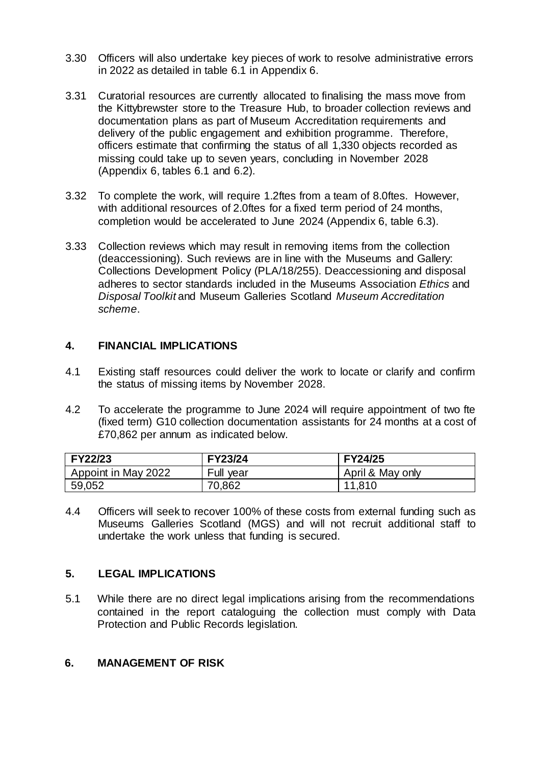- 3.30 Officers will also undertake key pieces of work to resolve administrative errors in 2022 as detailed in table 6.1 in Appendix 6.
- 3.31 Curatorial resources are currently allocated to finalising the mass move from the Kittybrewster store to the Treasure Hub, to broader collection reviews and documentation plans as part of Museum Accreditation requirements and delivery of the public engagement and exhibition programme. Therefore, officers estimate that confirming the status of all 1,330 objects recorded as missing could take up to seven years, concluding in November 2028 (Appendix 6, tables 6.1 and 6.2).
- 3.32 To complete the work, will require 1.2ftes from a team of 8.0ftes. However, with additional resources of 2.0ftes for a fixed term period of 24 months, completion would be accelerated to June 2024 (Appendix 6, table 6.3).
- 3.33 Collection reviews which may result in removing items from the collection (deaccessioning). Such reviews are in line with the Museums and Gallery: Collections Development Policy (PLA/18/255). Deaccessioning and disposal adheres to sector standards included in the Museums Association *Ethics* and *Disposal Toolkit* and Museum Galleries Scotland *Museum Accreditation scheme*.

## **4. FINANCIAL IMPLICATIONS**

- 4.1 Existing staff resources could deliver the work to locate or clarify and confirm the status of missing items by November 2028.
- 4.2 To accelerate the programme to June 2024 will require appointment of two fte (fixed term) G10 collection documentation assistants for 24 months at a cost of £70,862 per annum as indicated below.

| <b>FY22/23</b>      | FY23/24   | FY24/25          |
|---------------------|-----------|------------------|
| Appoint in May 2022 | Full year | April & May only |
| 59,052              | 70,862    | 11,810           |

4.4 Officers will seek to recover 100% of these costs from external funding such as Museums Galleries Scotland (MGS) and will not recruit additional staff to undertake the work unless that funding is secured.

## **5. LEGAL IMPLICATIONS**

5.1 While there are no direct legal implications arising from the recommendations contained in the report cataloguing the collection must comply with Data Protection and Public Records legislation.

## **6. MANAGEMENT OF RISK**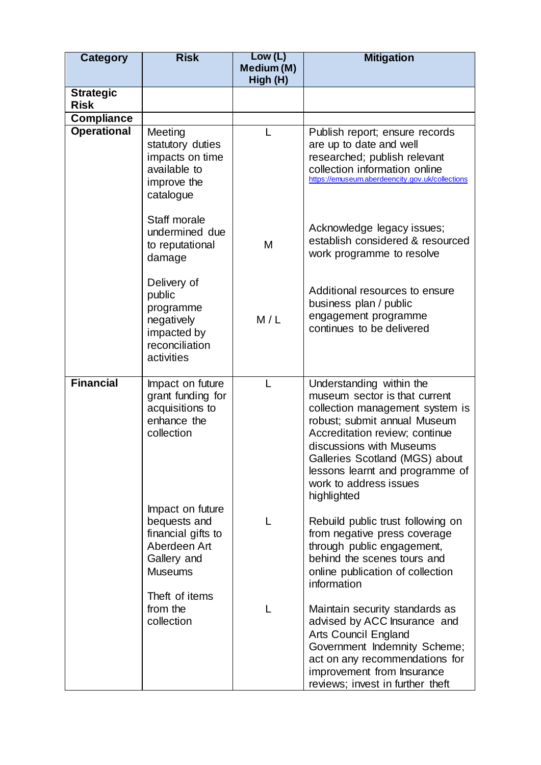| <b>Category</b>                 | <b>Risk</b>                                                                                               | Low (L)<br>Medium (M)<br>High (H) | <b>Mitigation</b>                                                                                                                                                                                                                                                                                        |
|---------------------------------|-----------------------------------------------------------------------------------------------------------|-----------------------------------|----------------------------------------------------------------------------------------------------------------------------------------------------------------------------------------------------------------------------------------------------------------------------------------------------------|
| <b>Strategic</b><br><b>Risk</b> |                                                                                                           |                                   |                                                                                                                                                                                                                                                                                                          |
| <b>Compliance</b>               |                                                                                                           |                                   |                                                                                                                                                                                                                                                                                                          |
| <b>Operational</b>              | Meeting<br>statutory duties<br>impacts on time<br>available to<br>improve the<br>catalogue                |                                   | Publish report; ensure records<br>are up to date and well<br>researched; publish relevant<br>collection information online<br>https://emuseum.aberdeencity.gov.uk/collections                                                                                                                            |
|                                 | Staff morale<br>undermined due<br>to reputational<br>damage                                               | M                                 | Acknowledge legacy issues;<br>establish considered & resourced<br>work programme to resolve                                                                                                                                                                                                              |
|                                 | Delivery of<br>public<br>programme<br>negatively<br>impacted by<br>reconciliation<br>activities           | M/L                               | Additional resources to ensure<br>business plan / public<br>engagement programme<br>continues to be delivered                                                                                                                                                                                            |
| <b>Financial</b>                | Impact on future<br>grant funding for<br>acquisitions to<br>enhance the<br>collection<br>Impact on future |                                   | Understanding within the<br>museum sector is that current<br>collection management system is<br>robust; submit annual Museum<br>Accreditation review; continue<br>discussions with Museums<br>Galleries Scotland (MGS) about<br>lessons learnt and programme of<br>work to address issues<br>highlighted |
|                                 | bequests and<br>financial gifts to<br>Aberdeen Art<br>Gallery and<br><b>Museums</b>                       | L                                 | Rebuild public trust following on<br>from negative press coverage<br>through public engagement,<br>behind the scenes tours and<br>online publication of collection<br>information                                                                                                                        |
|                                 | Theft of items<br>from the<br>collection                                                                  |                                   | Maintain security standards as<br>advised by ACC Insurance and<br>Arts Council England<br>Government Indemnity Scheme;<br>act on any recommendations for<br>improvement from Insurance<br>reviews; invest in further theft                                                                               |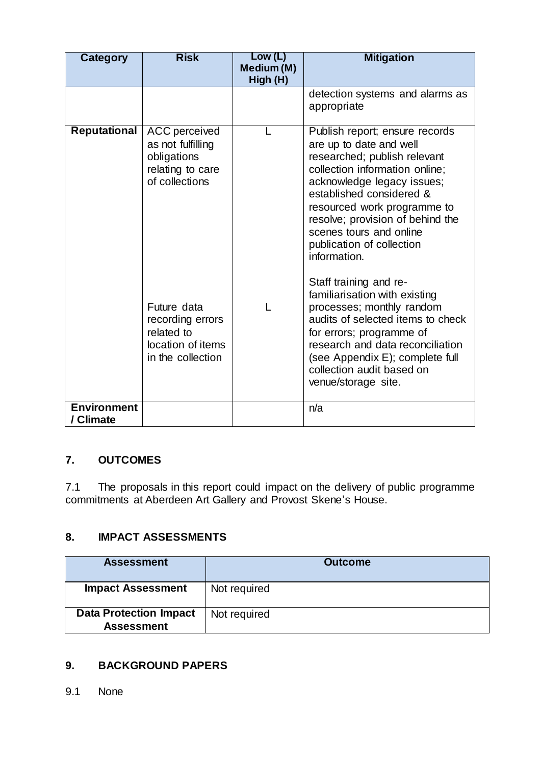| <b>Category</b>                 | <b>Risk</b>                                                                                                                                     | Low (L)<br>Medium (M)<br>High (H) | <b>Mitigation</b>                                                                                                                                                                                                                                                                                                                                                                                                                                                                         |
|---------------------------------|-------------------------------------------------------------------------------------------------------------------------------------------------|-----------------------------------|-------------------------------------------------------------------------------------------------------------------------------------------------------------------------------------------------------------------------------------------------------------------------------------------------------------------------------------------------------------------------------------------------------------------------------------------------------------------------------------------|
|                                 |                                                                                                                                                 |                                   | detection systems and alarms as<br>appropriate                                                                                                                                                                                                                                                                                                                                                                                                                                            |
| <b>Reputational</b>             | <b>ACC</b> perceived<br>as not fulfilling<br>obligations<br>relating to care<br>of collections<br>Future data<br>recording errors<br>related to |                                   | Publish report; ensure records<br>are up to date and well<br>researched; publish relevant<br>collection information online;<br>acknowledge legacy issues;<br>established considered &<br>resourced work programme to<br>resolve; provision of behind the<br>scenes tours and online<br>publication of collection<br>information.<br>Staff training and re-<br>familiarisation with existing<br>processes; monthly random<br>audits of selected items to check<br>for errors; programme of |
|                                 | location of items<br>in the collection                                                                                                          |                                   | research and data reconciliation<br>(see Appendix E); complete full<br>collection audit based on<br>venue/storage site.                                                                                                                                                                                                                                                                                                                                                                   |
| <b>Environment</b><br>/ Climate |                                                                                                                                                 |                                   | n/a                                                                                                                                                                                                                                                                                                                                                                                                                                                                                       |

# **7. OUTCOMES**

7.1 The proposals in this report could impact on the delivery of public programme commitments at Aberdeen Art Gallery and Provost Skene's House.

## **8. IMPACT ASSESSMENTS**

| <b>Assessment</b>                                  | <b>Outcome</b> |
|----------------------------------------------------|----------------|
| <b>Impact Assessment</b>                           | Not required   |
| <b>Data Protection Impact</b><br><b>Assessment</b> | Not required   |

# **9. BACKGROUND PAPERS**

9.1 None